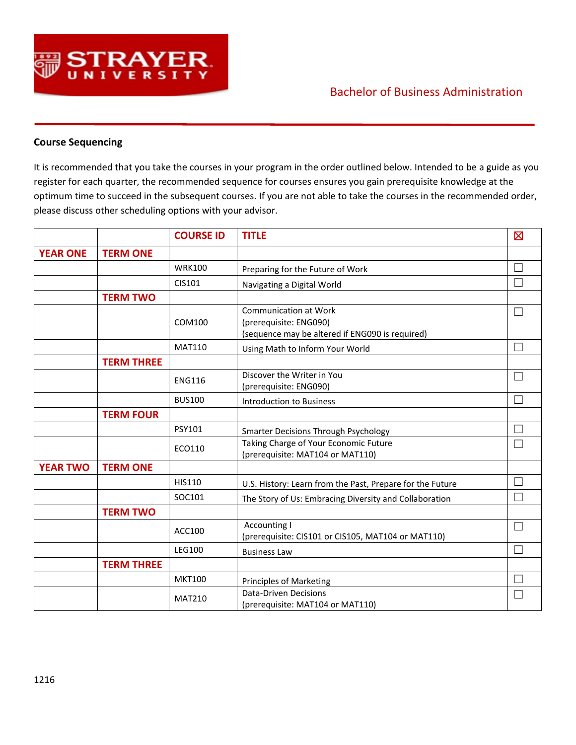

## Bachelor of Business Administration

## **Course Sequencing**

It is recommended that you take the courses in your program in the order outlined below. Intended to be a guide as you register for each quarter, the recommended sequence for courses ensures you gain prerequisite knowledge at the optimum time to succeed in the subsequent courses. If you are not able to take the courses in the recommended order, please discuss other scheduling options with your advisor.

|                 |                   | <b>COURSE ID</b> | <b>TITLE</b>                                                                                              | $\boxtimes$ |
|-----------------|-------------------|------------------|-----------------------------------------------------------------------------------------------------------|-------------|
| <b>YEAR ONE</b> | <b>TERM ONE</b>   |                  |                                                                                                           |             |
|                 |                   | <b>WRK100</b>    | Preparing for the Future of Work                                                                          |             |
|                 |                   | CIS101           | Navigating a Digital World                                                                                |             |
|                 | <b>TERM TWO</b>   |                  |                                                                                                           |             |
|                 |                   | COM100           | <b>Communication at Work</b><br>(prerequisite: ENG090)<br>(sequence may be altered if ENG090 is required) |             |
|                 |                   | <b>MAT110</b>    | Using Math to Inform Your World                                                                           |             |
|                 | <b>TERM THREE</b> |                  |                                                                                                           |             |
|                 |                   | <b>ENG116</b>    | Discover the Writer in You<br>(prerequisite: ENG090)                                                      |             |
|                 |                   | <b>BUS100</b>    | <b>Introduction to Business</b>                                                                           |             |
|                 | <b>TERM FOUR</b>  |                  |                                                                                                           |             |
|                 |                   | <b>PSY101</b>    | <b>Smarter Decisions Through Psychology</b>                                                               |             |
|                 |                   | ECO110           | Taking Charge of Your Economic Future<br>(prerequisite: MAT104 or MAT110)                                 |             |
| <b>YEAR TWO</b> | <b>TERM ONE</b>   |                  |                                                                                                           |             |
|                 |                   | HIS110           | U.S. History: Learn from the Past, Prepare for the Future                                                 |             |
|                 |                   | SOC101           | The Story of Us: Embracing Diversity and Collaboration                                                    |             |
|                 | <b>TERM TWO</b>   |                  |                                                                                                           |             |
|                 |                   | ACC100           | <b>Accounting I</b><br>(prerequisite: CIS101 or CIS105, MAT104 or MAT110)                                 |             |
|                 |                   | <b>LEG100</b>    | <b>Business Law</b>                                                                                       |             |
|                 | <b>TERM THREE</b> |                  |                                                                                                           |             |
|                 |                   | <b>MKT100</b>    | <b>Principles of Marketing</b>                                                                            |             |
|                 |                   | <b>MAT210</b>    | <b>Data-Driven Decisions</b><br>(prerequisite: MAT104 or MAT110)                                          |             |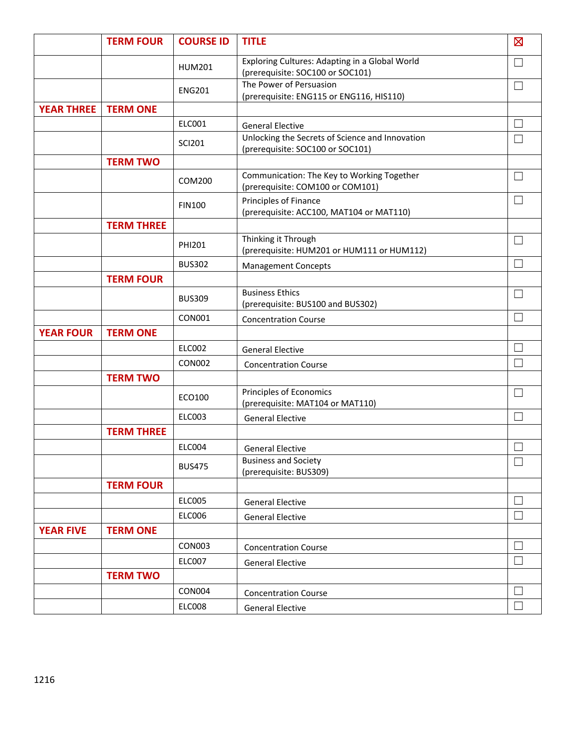|                   | <b>TERM FOUR</b>  | <b>COURSE ID</b> | <b>TITLE</b>                                                                        | $\boxtimes$  |
|-------------------|-------------------|------------------|-------------------------------------------------------------------------------------|--------------|
|                   |                   | <b>HUM201</b>    | Exploring Cultures: Adapting in a Global World<br>(prerequisite: SOC100 or SOC101)  | $\mathbf{L}$ |
|                   |                   | <b>ENG201</b>    | The Power of Persuasion<br>(prerequisite: ENG115 or ENG116, HIS110)                 | $\Box$       |
| <b>YEAR THREE</b> | <b>TERM ONE</b>   |                  |                                                                                     |              |
|                   |                   | ELC001           | <b>General Elective</b>                                                             |              |
|                   |                   | <b>SCI201</b>    | Unlocking the Secrets of Science and Innovation<br>(prerequisite: SOC100 or SOC101) | I.           |
|                   | <b>TERM TWO</b>   |                  |                                                                                     |              |
|                   |                   | COM200           | Communication: The Key to Working Together<br>(prerequisite: COM100 or COM101)      | $\Box$       |
|                   |                   | <b>FIN100</b>    | Principles of Finance<br>(prerequisite: ACC100, MAT104 or MAT110)                   | Г            |
|                   | <b>TERM THREE</b> |                  |                                                                                     |              |
|                   |                   | PHI201           | Thinking it Through<br>(prerequisite: HUM201 or HUM111 or HUM112)                   | $\Box$       |
|                   |                   | <b>BUS302</b>    | <b>Management Concepts</b>                                                          | I.           |
|                   | <b>TERM FOUR</b>  |                  |                                                                                     |              |
|                   |                   | <b>BUS309</b>    | <b>Business Ethics</b><br>(prerequisite: BUS100 and BUS302)                         | $\Box$       |
|                   |                   | <b>CON001</b>    | <b>Concentration Course</b>                                                         | П            |
| <b>YEAR FOUR</b>  | <b>TERM ONE</b>   |                  |                                                                                     |              |
|                   |                   | <b>ELC002</b>    | <b>General Elective</b>                                                             | Г            |
|                   |                   | <b>CON002</b>    | <b>Concentration Course</b>                                                         | П            |
|                   | <b>TERM TWO</b>   |                  |                                                                                     |              |
|                   |                   | ECO100           | Principles of Economics<br>(prerequisite: MAT104 or MAT110)                         | $\mathbf{L}$ |
|                   |                   | <b>ELC003</b>    | <b>General Elective</b>                                                             | П            |
|                   | <b>TERM THREE</b> |                  |                                                                                     |              |
|                   |                   | <b>ELC004</b>    | <b>General Elective</b>                                                             |              |
|                   |                   | <b>BUS475</b>    | <b>Business and Society</b><br>(prerequisite: BUS309)                               | $\Box$       |
|                   | <b>TERM FOUR</b>  |                  |                                                                                     |              |
|                   |                   | <b>ELC005</b>    | <b>General Elective</b>                                                             | I.           |
|                   |                   | <b>ELC006</b>    | <b>General Elective</b>                                                             | $\Box$       |
| <b>YEAR FIVE</b>  | <b>TERM ONE</b>   |                  |                                                                                     |              |
|                   |                   | <b>CON003</b>    | <b>Concentration Course</b>                                                         | $\Box$       |
|                   |                   | <b>ELC007</b>    | <b>General Elective</b>                                                             | $\Box$       |
|                   | <b>TERM TWO</b>   |                  |                                                                                     |              |
|                   |                   | <b>CON004</b>    | <b>Concentration Course</b>                                                         | $\mathbf{L}$ |
|                   |                   | <b>ELC008</b>    | <b>General Elective</b>                                                             | $\Box$       |